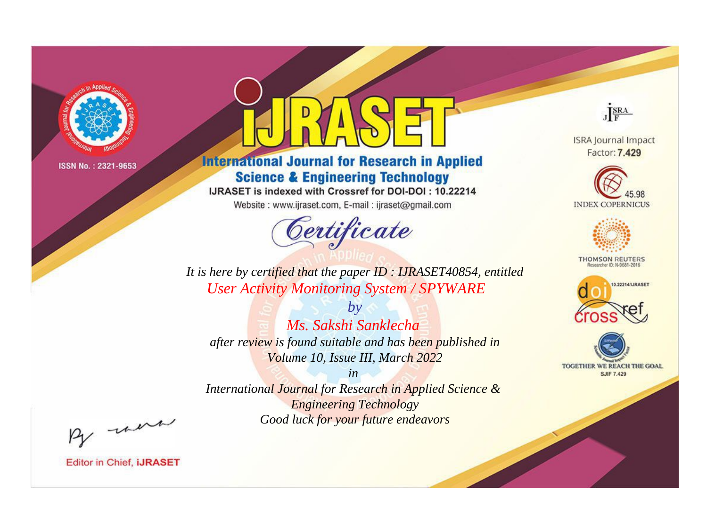

# **International Journal for Research in Applied Science & Engineering Technology**

IJRASET is indexed with Crossref for DOI-DOI: 10.22214

Website: www.ijraset.com, E-mail: ijraset@gmail.com



JERA

**ISRA Journal Impact** Factor: 7.429





**THOMSON REUTERS** 



TOGETHER WE REACH THE GOAL **SJIF 7.429** 

*It is here by certified that the paper ID : IJRASET40854, entitled User Activity Monitoring System / SPYWARE*

*by Ms. Sakshi Sanklecha after review is found suitable and has been published in Volume 10, Issue III, March 2022*

*in* 

*International Journal for Research in Applied Science & Engineering Technology Good luck for your future endeavors*

By morn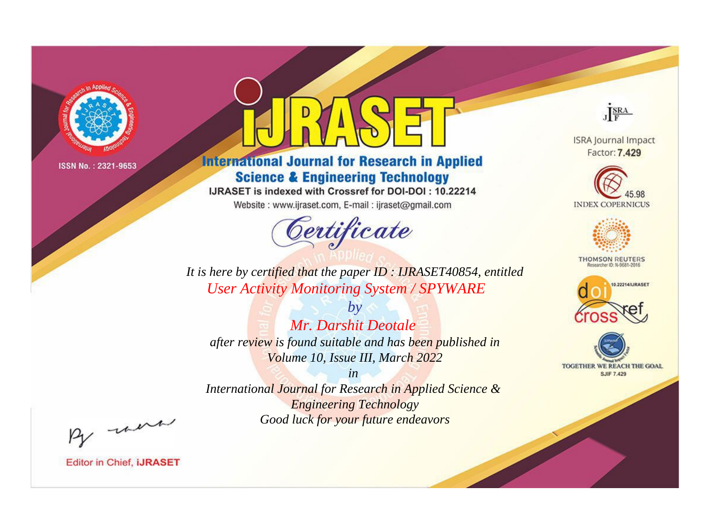

# **International Journal for Research in Applied Science & Engineering Technology**

IJRASET is indexed with Crossref for DOI-DOI: 10.22214

Website: www.ijraset.com, E-mail: ijraset@gmail.com



JERA

**ISRA Journal Impact** Factor: 7.429





**THOMSON REUTERS** 



TOGETHER WE REACH THE GOAL **SJIF 7.429** 

It is here by certified that the paper ID: IJRASET40854, entitled **User Activity Monitoring System / SPYWARE** 

 $b\nu$ Mr. Darshit Deotale after review is found suitable and has been published in Volume 10, Issue III, March 2022

 $in$ International Journal for Research in Applied Science & **Engineering Technology** Good luck for your future endeavors

By morn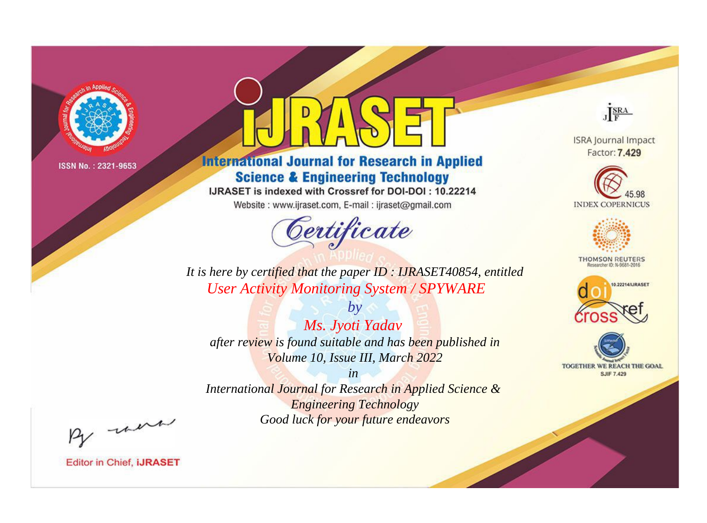

# **International Journal for Research in Applied Science & Engineering Technology**

IJRASET is indexed with Crossref for DOI-DOI: 10.22214

Website: www.ijraset.com, E-mail: ijraset@gmail.com



JERA

**ISRA Journal Impact** Factor: 7.429





**THOMSON REUTERS** 



TOGETHER WE REACH THE GOAL **SJIF 7.429** 

*It is here by certified that the paper ID : IJRASET40854, entitled User Activity Monitoring System / SPYWARE*

*by Ms. Jyoti Yadav after review is found suitable and has been published in Volume 10, Issue III, March 2022*

*in* 

*International Journal for Research in Applied Science & Engineering Technology Good luck for your future endeavors*

By morn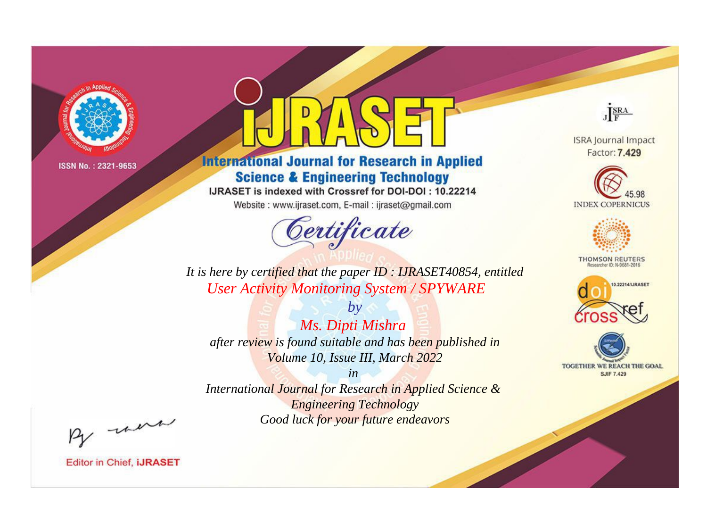

# **International Journal for Research in Applied Science & Engineering Technology**

IJRASET is indexed with Crossref for DOI-DOI: 10.22214

Website: www.ijraset.com, E-mail: ijraset@gmail.com



JERA

**ISRA Journal Impact** Factor: 7.429





**THOMSON REUTERS** 



TOGETHER WE REACH THE GOAL **SJIF 7.429** 

*It is here by certified that the paper ID : IJRASET40854, entitled User Activity Monitoring System / SPYWARE*

*Ms. Dipti Mishra after review is found suitable and has been published in Volume 10, Issue III, March 2022*

*by*

*in* 

*International Journal for Research in Applied Science & Engineering Technology Good luck for your future endeavors*

By morn